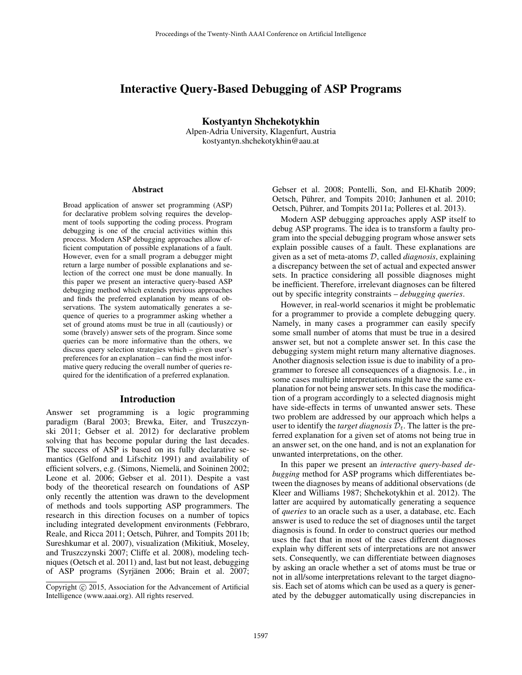# Interactive Query-Based Debugging of ASP Programs

Kostyantyn Shchekotykhin

Alpen-Adria University, Klagenfurt, Austria kostyantyn.shchekotykhin@aau.at

#### **Abstract**

Broad application of answer set programming (ASP) for declarative problem solving requires the development of tools supporting the coding process. Program debugging is one of the crucial activities within this process. Modern ASP debugging approaches allow efficient computation of possible explanations of a fault. However, even for a small program a debugger might return a large number of possible explanations and selection of the correct one must be done manually. In this paper we present an interactive query-based ASP debugging method which extends previous approaches and finds the preferred explanation by means of observations. The system automatically generates a sequence of queries to a programmer asking whether a set of ground atoms must be true in all (cautiously) or some (bravely) answer sets of the program. Since some queries can be more informative than the others, we discuss query selection strategies which – given user's preferences for an explanation – can find the most informative query reducing the overall number of queries required for the identification of a preferred explanation.

#### Introduction

Answer set programming is a logic programming paradigm (Baral 2003; Brewka, Eiter, and Truszczynski 2011; Gebser et al. 2012) for declarative problem solving that has become popular during the last decades. The success of ASP is based on its fully declarative semantics (Gelfond and Lifschitz 1991) and availability of efficient solvers, e.g. (Simons, Niemelä, and Soininen 2002; Leone et al. 2006; Gebser et al. 2011). Despite a vast body of the theoretical research on foundations of ASP only recently the attention was drawn to the development of methods and tools supporting ASP programmers. The research in this direction focuses on a number of topics including integrated development environments (Febbraro, Reale, and Ricca 2011; Oetsch, Pührer, and Tompits 2011b; Sureshkumar et al. 2007), visualization (Mikitiuk, Moseley, and Truszczynski 2007; Cliffe et al. 2008), modeling techniques (Oetsch et al. 2011) and, last but not least, debugging of ASP programs (Syrjänen 2006; Brain et al. 2007;

Gebser et al. 2008; Pontelli, Son, and El-Khatib 2009; Oetsch, Pührer, and Tompits 2010; Janhunen et al. 2010; Oetsch, Puhrer, and Tompits 2011a; Polleres et al. 2013). ¨

Modern ASP debugging approaches apply ASP itself to debug ASP programs. The idea is to transform a faulty program into the special debugging program whose answer sets explain possible causes of a fault. These explanations are given as a set of meta-atoms D, called *diagnosis*, explaining a discrepancy between the set of actual and expected answer sets. In practice considering all possible diagnoses might be inefficient. Therefore, irrelevant diagnoses can be filtered out by specific integrity constraints – *debugging queries*.

However, in real-world scenarios it might be problematic for a programmer to provide a complete debugging query. Namely, in many cases a programmer can easily specify some small number of atoms that must be true in a desired answer set, but not a complete answer set. In this case the debugging system might return many alternative diagnoses. Another diagnosis selection issue is due to inability of a programmer to foresee all consequences of a diagnosis. I.e., in some cases multiple interpretations might have the same explanation for not being answer sets. In this case the modification of a program accordingly to a selected diagnosis might have side-effects in terms of unwanted answer sets. These two problem are addressed by our approach which helps a user to identify the *target diagnosis*  $\mathcal{D}_t$ . The latter is the preferred explanation for a given set of atoms not being true in an answer set, on the one hand, and is not an explanation for unwanted interpretations, on the other.

In this paper we present an *interactive query-based debugging* method for ASP programs which differentiates between the diagnoses by means of additional observations (de Kleer and Williams 1987; Shchekotykhin et al. 2012). The latter are acquired by automatically generating a sequence of *queries* to an oracle such as a user, a database, etc. Each answer is used to reduce the set of diagnoses until the target diagnosis is found. In order to construct queries our method uses the fact that in most of the cases different diagnoses explain why different sets of interpretations are not answer sets. Consequently, we can differentiate between diagnoses by asking an oracle whether a set of atoms must be true or not in all/some interpretations relevant to the target diagnosis. Each set of atoms which can be used as a query is generated by the debugger automatically using discrepancies in

Copyright (c) 2015, Association for the Advancement of Artificial Intelligence (www.aaai.org). All rights reserved.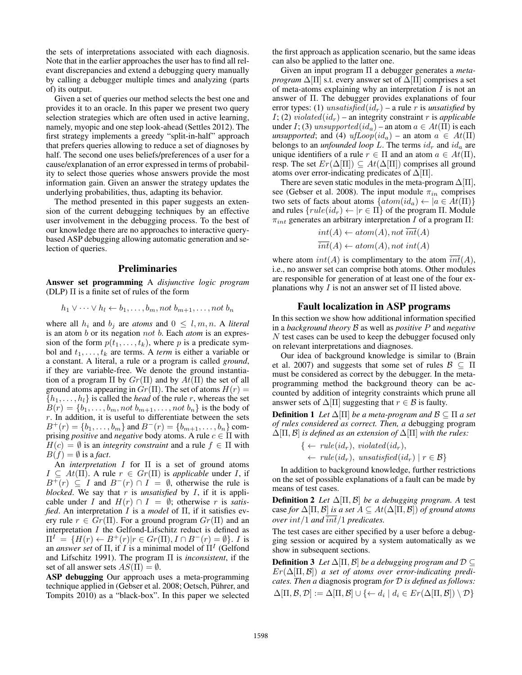the sets of interpretations associated with each diagnosis. Note that in the earlier approaches the user has to find all relevant discrepancies and extend a debugging query manually by calling a debugger multiple times and analyzing (parts of) its output.

Given a set of queries our method selects the best one and provides it to an oracle. In this paper we present two query selection strategies which are often used in active learning, namely, myopic and one step look-ahead (Settles 2012). The first strategy implements a greedy "split-in-half" approach that prefers queries allowing to reduce a set of diagnoses by half. The second one uses beliefs/preferences of a user for a cause/explanation of an error expressed in terms of probability to select those queries whose answers provide the most information gain. Given an answer the strategy updates the underlying probabilities, thus, adapting its behavior.

The method presented in this paper suggests an extension of the current debugging techniques by an effective user involvement in the debugging process. To the best of our knowledge there are no approaches to interactive querybased ASP debugging allowing automatic generation and selection of queries.

# Preliminaries

Answer set programming A *disjunctive logic program* (DLP)  $\Pi$  is a finite set of rules of the form

$$
h_1 \vee \cdots \vee h_l \leftarrow b_1, \ldots, b_m, not \ b_{m+1}, \ldots, not \ b_n
$$

where all  $h_i$  and  $b_j$  are *atoms* and  $0 \leq l, m, n$ . A *literal* is an atom b or its negation not b. Each *atom* is an expression of the form  $p(t_1, \ldots, t_k)$ , where p is a predicate symbol and  $t_1, \ldots, t_k$  are terms. A *term* is either a variable or a constant. A literal, a rule or a program is called *ground*, if they are variable-free. We denote the ground instantiation of a program  $\Pi$  by  $Gr(\Pi)$  and by  $At(\Pi)$  the set of all ground atoms appearing in  $Gr(\Pi)$ . The set of atoms  $H(r)$  =  ${h_1, \ldots, h_l}$  is called the *head* of the rule r, whereas the set  $B(r) = \{b_1, \ldots, b_m, not \ b_{m+1}, \ldots, not \ b_n\}$  is the body of  $r$ . In addition, it is useful to differentiate between the sets  $B^+(r) = \{b_1, \ldots, b_m\}$  and  $B^-(r) = \{b_{m+1}, \ldots, b_n\}$  comprising *positive* and *negative* body atoms. A rule  $c \in \Pi$  with  $H(c) = \emptyset$  is an *integrity constraint* and a rule  $f \in \Pi$  with  $B(f) = \emptyset$  is a *fact*.

An *interpretation* I for Π is a set of ground atoms  $I \subseteq At(\Pi)$ . A rule  $r \in Gr(\Pi)$  is *applicable* under *I*, if  $B^{+}(r) \subseteq I$  and  $B^{-}(r) \cap I = \emptyset$ , otherwise the rule is *blocked*. We say that r is *unsatisfied* by  $I$ , if it is applicable under *I* and  $H(r) \cap I = \emptyset$ ; otherwise *r* is *satisfied*. An interpretation I is a *model* of Π, if it satisfies every rule  $r \in Gr(\Pi)$ . For a ground program  $Gr(\Pi)$  and an interpretation I the Gelfond-Lifschitz reduct is defined as  $\Pi^I = \{H(r) \leftarrow B^+(r) | r \in Gr(\Pi), I \cap B^-(r) = \emptyset \}.$  I is an *answer set* of  $\Pi$ , if  $I$  is a minimal model of  $\Pi^I$  (Gelfond and Lifschitz 1991). The program Π is *inconsistent*, if the set of all answer sets  $AS(\Pi) = \emptyset$ .

ASP debugging Our approach uses a meta-programming technique applied in (Gebser et al. 2008; Oetsch, Pührer, and Tompits 2010) as a "black-box". In this paper we selected

the first approach as application scenario, but the same ideas can also be applied to the latter one.

Given an input program Π a debugger generates a *metaprogram*  $\Delta[\Pi]$  s.t. every answer set of  $\Delta[\Pi]$  comprises a set of meta-atoms explaining why an interpretation  $I$  is not an answer of Π. The debugger provides explanations of four error types: (1) unsatisfied(id<sub>r</sub>) – a rule r is *unsatisfied* by I; (2) *violated*( $id_r$ ) – an integrity constraint r is *applicable* under I; (3) unsupported(id<sub>a</sub>) – an atom  $a \in At(\Pi)$  is each *unsupported*; and (4)  $u fLoop(id_a)$  – an atom  $a \in At(\Pi)$ belongs to an *unfounded loop*  $L$ . The terms  $id_r$  and  $id_a$  are unique identifiers of a rule  $r \in \Pi$  and an atom  $a \in At(\Pi)$ , resp. The set  $Er(\Delta[\Pi]) \subseteq At(\Delta[\Pi])$  comprises all ground atoms over error-indicating predicates of  $\Delta[\Pi]$ .

There are seven static modules in the meta-program  $\Delta[\Pi]$ , see (Gebser et al. 2008). The input module  $\pi_{in}$  comprises two sets of facts about atoms  $\{atom(id_a) \leftarrow | a \in At(\Pi) \}$ and rules  $\{rule(id_r) \leftarrow | r \in \Pi \}$  of the program  $\Pi$ . Module  $\pi_{int}$  generates an arbitrary interpretation I of a program  $\Pi$ :

$$
int(A) \leftarrow atom(A), not \overline{int}(A)
$$
  

$$
\overline{int}(A) \leftarrow atom(A), not \overline{int}(A)
$$

where atom  $int(A)$  is complimentary to the atom  $\overline{int}(A)$ , i.e., no answer set can comprise both atoms. Other modules are responsible for generation of at least one of the four explanations why I is not an answer set of  $\Pi$  listed above.

# Fault localization in ASP programs

In this section we show how additional information specified in a *background theory* B as well as *positive* P and *negative* N test cases can be used to keep the debugger focused only on relevant interpretations and diagnoses.

Our idea of background knowledge is similar to (Brain et al. 2007) and suggests that some set of rules  $\mathcal{B} \subseteq \Pi$ must be considered as correct by the debugger. In the metaprogramming method the background theory can be accounted by addition of integrity constraints which prune all answer sets of  $\Delta[\Pi]$  suggesting that  $r \in \mathcal{B}$  is faulty.

**Definition 1** *Let*  $\Delta[\Pi]$  *be a meta-program and*  $\mathcal{B} \subseteq \Pi$  *a set of rules considered as correct. Then, a* debugging program  $\Delta[\Pi, \mathcal{B}]$  *is defined as an extension of*  $\Delta[\Pi]$  *with the rules:* 

$$
\{\leftarrow \text{ rule}(id_r), \text{ violated}(id_r),
$$
  

$$
\leftarrow \text{ rule}(id_r), \text{ unsatisfied}(id_r) \mid r \in \mathcal{B}\}
$$

In addition to background knowledge, further restrictions on the set of possible explanations of a fault can be made by means of test cases.

**Definition 2** *Let*  $\Delta[\Pi, \mathcal{B}]$  *be a debugging program.* A test case *for*  $\Delta[\Pi, \mathcal{B}]$  *is a set*  $A \subseteq At(\Delta[\Pi, \mathcal{B}])$  *of ground atoms over* int/1 *and* int/1 *predicates.*

The test cases are either specified by a user before a debugging session or acquired by a system automatically as we show in subsequent sections.

**Definition 3** *Let*  $\Delta[\Pi, \mathcal{B}]$  *be a debugging program and*  $\mathcal{D} \subseteq$ Er(∆[Π, B]) *a set of atoms over error-indicating predicates. Then a* diagnosis program *for* D *is defined as follows:*  $\Delta[\Pi, \mathcal{B}, \mathcal{D}] := \Delta[\Pi, \mathcal{B}] \cup \{ \leftarrow d_i \mid d_i \in Er(\Delta[\Pi, \mathcal{B}]) \setminus \mathcal{D} \}$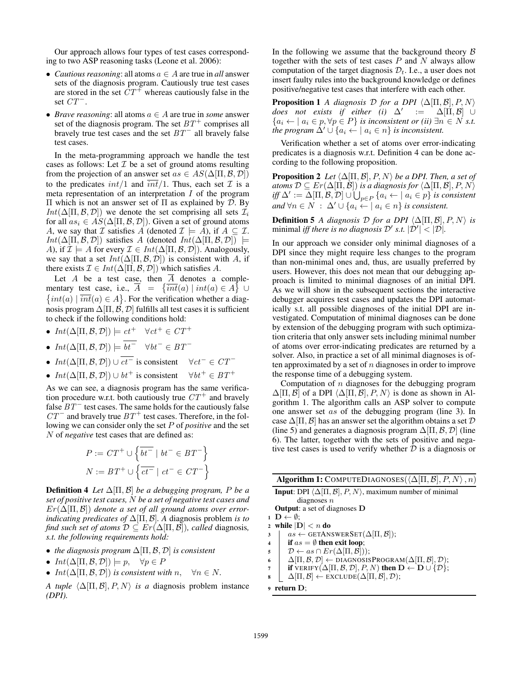Our approach allows four types of test cases corresponding to two ASP reasoning tasks (Leone et al. 2006):

- *Cautious reasoning*: all atoms a ∈ A are true in *all* answer sets of the diagnosis program. Cautiously true test cases are stored in the set  $CT^+$  whereas cautiously false in the set  $CT^{-}$ .
- *Brave reasoning*: all atoms a ∈ A are true in *some* answer set of the diagnosis program. The set  $BT^+$  comprises all bravely true test cases and the set  $BT^-$  all bravely false test cases.

In the meta-programming approach we handle the test cases as follows: Let  $\mathcal I$  be a set of ground atoms resulting from the projection of an answer set  $as \in AS(\Delta[\Pi, \mathcal{B}, \mathcal{D}])$ to the predicates  $int/1$  and  $\overline{int}/1$ . Thus, each set  $\mathcal I$  is a meta representation of an interpretation I of the program Π which is not an answer set of Π as explained by D. By  $Int(\Delta[\Pi, \mathcal{B}, \mathcal{D}])$  we denote the set comprising all sets  $\mathcal{I}_i$ for all  $as_i \in AS(\Delta[\Pi, \mathcal{B}, \mathcal{D}])$ . Given a set of ground atoms A, we say that  $\mathcal I$  satisfies A (denoted  $\mathcal I \models A$ ), if  $A \subseteq \mathcal I$ .  $Int(\Delta[\Pi, \mathcal{B}, \mathcal{D}])$  satisfies A (denoted  $Int(\Delta[\Pi, \mathcal{B}, \mathcal{D}])$   $\models$ A), if  $\mathcal{I} \models A$  for every  $\mathcal{I} \in Int(\Delta[\Pi, \mathcal{B}, \mathcal{D}])$ . Analogously, we say that a set  $Int(\Delta[\Pi, \mathcal{B}, \mathcal{D}])$  is consistent with A, if there exists  $\mathcal{I} \in Int(\Delta[\Pi, \mathcal{B}, \mathcal{D}])$  which satisfies A.

Let A be a test case, then  $\overline{A}$  denotes a complementary test case, i.e.,  $\overline{A} = \{\overline{int}(a) | int(a) \in A\} \cup$  $\{int(a) | \overline{int}(a) \in A \}$ . For the verification whether a diagnosis program  $\Delta[\Pi, \vec{B}, \mathcal{D}]$  fulfills all test cases it is sufficient to check if the following conditions hold:

•  $Int(\Delta[\Pi, \mathcal{B}, \mathcal{D}]) \models ct^+ \quad \forall ct^+ \in CT^+$ 

• 
$$
Int(\Delta[\Pi, \mathcal{B}, \mathcal{D}]) \models \overline{bt^-} \quad \forall bt^- \in BT^-
$$

- $Int(\Delta[\Pi, \mathcal{B}, \mathcal{D}]) \cup \overline{ct^{-}}$  is consistent  $\forall ct^{-} \in CT^{-}$
- $Int(\Delta[\Pi, \mathcal{B}, \mathcal{D}]) \cup bt^+$  is consistent  $\forall bt^+ \in BT^+$

As we can see, a diagnosis program has the same verification procedure w.r.t. both cautiously true  $CT^+$  and bravely false  $BT^-$  test cases. The same holds for the cautiously false  $CT^-$  and bravely true  $BT^+$  test cases. Therefore, in the following we can consider only the set P of *positive* and the set N of *negative* test cases that are defined as:

$$
P := CT^{+} \cup \left\{ \overline{bt^{-}} \mid bt^{-} \in BT^{-} \right\}
$$

$$
N := BT^{+} \cup \left\{ \overline{ct^{-}} \mid ct^{-} \in CT^{-} \right\}
$$

**Definition 4** *Let*  $\Delta[\Pi, \mathcal{B}]$  *be a debugging program, P be a set of positive test cases,* N *be a set of negative test cases and* Er(∆[Π, B]) *denote a set of all ground atoms over errorindicating predicates of* ∆[Π, B]*. A* diagnosis problem *is to find such set of atoms*  $D \subseteq Er(\Delta[\Pi, \mathcal{B}])$ *, called diagnosis, s.t. the following requirements hold:*

- *the diagnosis program* ∆[Π, B, D] *is consistent*
- $Int(\Delta[\Pi, \mathcal{B}, \mathcal{D}]) \models p, \quad \forall p \in P$
- $Int(\Delta[\Pi, \mathcal{B}, \mathcal{D}])$  *is consistent with*  $n, \forall n \in \mathbb{N}$ .

*A tuple*  $\langle \Delta[\Pi, \mathcal{B}], P, N \rangle$  *is a* diagnosis problem instance *(DPI).*

In the following we assume that the background theory  $\beta$ together with the sets of test cases  $P$  and  $N$  always allow computation of the target diagnosis  $\mathcal{D}_t$ . I.e., a user does not insert faulty rules into the background knowledge or defines positive/negative test cases that interfere with each other.

**Proposition 1** *A diagnosis*  $D$  *for a DPI*  $\langle \Delta [\Pi, \mathcal{B}], P, N \rangle$  $does$  not exists if either (i)  $\Delta'$  :=  $\Delta[\Pi, \mathcal{B}]$  ∪  ${a_i \leftarrow | a_i \in p, \forall p \in P}$  *is inconsistent or (ii)*  $\exists n \in N$  *s.t. the program*  $\Delta' \cup \{a_i \leftarrow | a_i \in n\}$  *is inconsistent.* 

Verification whether a set of atoms over error-indicating predicates is a diagnosis w.r.t. Definition 4 can be done according to the following proposition.

**Proposition 2** *Let*  $\langle \Delta[\Pi, \mathcal{B}], P, N \rangle$  *be a DPI. Then, a set of atoms*  $\mathcal{D} \subseteq Er(\Delta[\Pi, \mathcal{B}])$  *is a diagnosis for*  $\langle \Delta[\Pi, \mathcal{B}], P, N \rangle$  $\mathit{iff} \ \Delta' := \Delta[\Pi, \mathcal{B}, \mathcal{D}] \cup \bigcup_{p \in P} \{a_i \leftarrow |\ a_i \in p\} \ \textit{is consistent}$ *and*  $\forall n \in N$  :  $\Delta' \cup \{a_i \leftarrow \mid a_i \in n\}$  *is consistent.* 

**Definition 5** *A diagnosis*  $D$  *for a DPI*  $\langle \Delta [\Pi, \mathcal{B}], P, N \rangle$  *is* minimal *iff there is no diagnosis*  $\mathcal{D}'$  *s.t.*  $|\mathcal{D}'| < |\mathcal{D}|$ .

In our approach we consider only minimal diagnoses of a DPI since they might require less changes to the program than non-minimal ones and, thus, are usually preferred by users. However, this does not mean that our debugging approach is limited to minimal diagnoses of an initial DPI. As we will show in the subsequent sections the interactive debugger acquires test cases and updates the DPI automatically s.t. all possible diagnoses of the initial DPI are investigated. Computation of minimal diagnoses can be done by extension of the debugging program with such optimization criteria that only answer sets including minimal number of atoms over error-indicating predicates are returned by a solver. Also, in practice a set of all minimal diagnoses is often approximated by a set of  $n$  diagnoses in order to improve the response time of a debugging system.

Computation of  $n$  diagnoses for the debugging program  $\Delta[\Pi, \mathcal{B}]$  of a DPI  $\langle \Delta[\Pi, \mathcal{B}], P, N \rangle$  is done as shown in Algorithm 1. The algorithm calls an ASP solver to compute one answer set as of the debugging program (line 3). In case  $\Delta[\Pi, \mathcal{B}]$  has an answer set the algorithm obtains a set  $\mathcal{D}$ (line 5) and generates a diagnosis program  $\Delta$ [Π,  $\beta$ ,  $\mathcal{D}$ ] (line 6). The latter, together with the sets of positive and negative test cases is used to verify whether  $D$  is a diagnosis or

| Algorithm 1: COMPUTEDIAGNOSES $(\Delta[\Pi, \mathcal{B}], P, N), n)$                           |
|------------------------------------------------------------------------------------------------|
| <b>Input:</b> DPI $\langle \Delta[\Pi, \mathcal{B}], P, N \rangle$ , maximum number of minimal |

- diagnoses  $n$ Output: a set of diagnoses D
- $1 \mathbf{D} \leftarrow \emptyset;$
- 2 while  $|D| < n$  do
- $\begin{array}{c|c} 3 & | & as \leftarrow \text{GETANSWERSET}(\Delta[\Pi, \mathcal{B}]); \end{array}$
- 4 if  $as = \emptyset$  then exit loop;
- $\mathfrak{s}$  |  $\mathcal{D} \leftarrow as \cap Er(\Delta[\Pi, \mathcal{B}]))$ ;
- 6  $\Delta[\Pi, \mathcal{B}, \mathcal{D}] \leftarrow \text{DIAGNOSISPROGRAM}(\Delta[\Pi, \mathcal{B}], \mathcal{D});$
- $\tau$  if VERIFY( $\Delta[\Pi, \mathcal{B}, \mathcal{D}], P, N$ ) then  $D \leftarrow D \cup \{\mathcal{D}\};$
- $\mathbf{s} \mid \Delta[\Pi, \mathcal{B}] \leftarrow \text{EXECUDE}(\Delta[\Pi, \mathcal{B}], \mathcal{D});$

```
9 return D;
```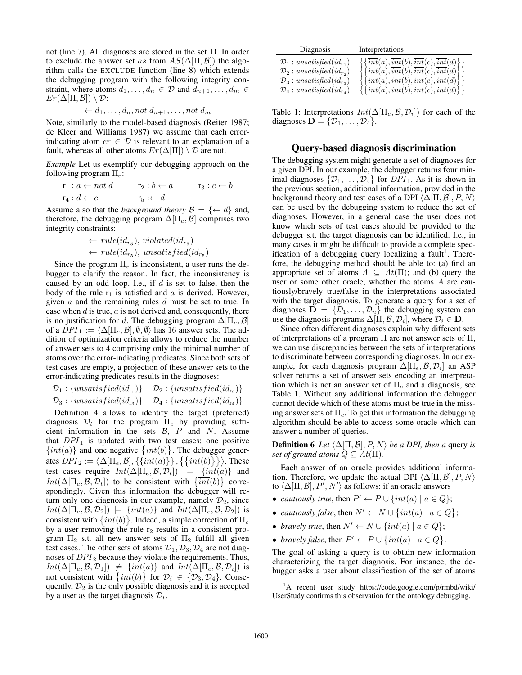not (line 7). All diagnoses are stored in the set D. In order to exclude the answer set as from  $AS(\Delta[\Pi, \mathcal{B}])$  the algorithm calls the EXCLUDE function (line 8) which extends the debugging program with the following integrity constraint, where atoms  $d_1, \ldots, d_n \in \mathcal{D}$  and  $d_{n+1}, \ldots, d_m \in$  $Er(\Delta[\Pi, \mathcal{B}]) \setminus \mathcal{D}$ :

$$
\leftarrow d_1, \dots, d_n, not d_{n+1}, \dots, not d_m
$$

Note, similarly to the model-based diagnosis (Reiter 1987; de Kleer and Williams 1987) we assume that each errorindicating atom  $er \in \mathcal{D}$  is relevant to an explanation of a fault, whereas all other atoms  $Er(\Delta[\Pi]) \setminus \mathcal{D}$  are not.

*Example* Let us exemplify our debugging approach on the following program  $\Pi_e$ :

$$
\begin{array}{ll}\n\mathbf{r}_1: a \leftarrow not \, d & \mathbf{r}_2: b \leftarrow a & \mathbf{r}_3: c \leftarrow b \\
\mathbf{r}_4: d \leftarrow c & \mathbf{r}_5: \leftarrow d\n\end{array}
$$

Assume also that the *background theory*  $\mathcal{B} = \{ \leftarrow d \}$  and, therefore, the debugging program  $\Delta[\Pi_e, \mathcal{B}]$  comprises two integrity constraints:

$$
\leftarrow rule(id_{r_5}), violated(id_{r_5})
$$
  

$$
\leftarrow rule(id_{r_5}), unsatisfied(id_{r_5})
$$

Since the program  $\Pi_e$  is inconsistent, a user runs the debugger to clarify the reason. In fact, the inconsistency is caused by an odd loop. I.e., if  $d$  is set to false, then the body of the rule  $r_1$  is satisfied and a is derived. However, given  $a$  and the remaining rules  $d$  must be set to true. In case when  $d$  is true,  $a$  is not derived and, consequently, there is no justification for d. The debugging program  $\Delta[\Pi_e, \mathcal{B}]$ of a  $DPI_1 := \langle \Delta[\Pi_e, \mathcal{B}], \emptyset, \emptyset \rangle$  has 16 answer sets. The addition of optimization criteria allows to reduce the number of answer sets to 4 comprising only the minimal number of atoms over the error-indicating predicates. Since both sets of test cases are empty, a projection of these answer sets to the error-indicating predicates results in the diagnoses:

$$
\mathcal{D}_1: \{unsatisfied(id_{r_1})\} \quad \mathcal{D}_2: \{unsatisfied(id_{r_2})\} \n\mathcal{D}_3: \{unsatisfied(id_{r_3})\} \quad \mathcal{D}_4: \{unsatisfied(id_{r_4})\}
$$

Definition 4 allows to identify the target (preferred) diagnosis  $\mathcal{D}_t$  for the program  $\Pi_e$  by providing sufficient information in the sets  $\beta$ ,  $P$  and  $N$ . Assume that  $DPI_1$  is updated with two test cases: one positive  $\{int(a)\}\$  and one negative  $\{\overline{int}(b)\}\$ . The debugger generates  $DPI_2 := \langle \Delta[\Pi_e, \mathcal{B}], \{\{int(a)\}\}\, , \{\{\overline{int}(b)\}\}\rangle$ . These test cases require  $Int(\Delta[\Pi_e, \mathcal{B}, \mathcal{D}_t])$   $\models$   $\{int(a)\}$  and  $Int(\Delta[\Pi_e, \mathcal{B}, \mathcal{D}_t])$  to be consistent with  $\{\overline{int}(b)\}\$  correspondingly. Given this information the debugger will return only one diagnosis in our example, namely  $\mathcal{D}_2$ , since  $Int(\Delta[\Pi_e, \mathcal{B}, \mathcal{D}_2]) \models \{int(a)\}$  and  $Int(\Delta[\Pi_e, \mathcal{B}, \mathcal{D}_2])$  is consistent with  $\{\overline{int}(b)\}\.$  Indeed, a simple correction of  $\Pi_e$ by a user removing the rule  $r_2$  results in a consistent program  $\Pi_2$  s.t. all new answer sets of  $\Pi_2$  fulfill all given test cases. The other sets of atoms  $\mathcal{D}_1, \mathcal{D}_3, \mathcal{D}_4$  are not diagnoses of  $DPI_2$  because they violate the requirements. Thus,  $Int(\Delta[\Pi_e, \mathcal{B}, \mathcal{D}_1]) \not\models \{int(a)\}\$  and  $Int(\Delta[\Pi_e, \mathcal{B}, \mathcal{D}_i])$  is not consistent with  $\{\overline{int}(b)\}\$ for  $\mathcal{D}_i \in \{\mathcal{D}_3, \mathcal{D}_4\}$ . Consequently,  $\mathcal{D}_2$  is the only possible diagnosis and it is accepted by a user as the target diagnosis  $\mathcal{D}_t$ .

| Diagnosis                                                                                                                                                                    | Interpretations                                                                                                                                                                                                                                                                                                                                                                                                                                                |
|------------------------------------------------------------------------------------------------------------------------------------------------------------------------------|----------------------------------------------------------------------------------------------------------------------------------------------------------------------------------------------------------------------------------------------------------------------------------------------------------------------------------------------------------------------------------------------------------------------------------------------------------------|
| $\mathcal{D}_1: unsatisfied(id_{r_1})$<br>$\mathcal{D}_2$ : unsatisfied $(id_{r_2})$<br>$\mathcal{D}_3: unsatisfied(id_{r_3})$<br>$\mathcal{D}_4$ : unsatisfied $(id_{r_4})$ | $\begin{array}{c} \left\{\left\{\overline{int}(a),\overline{int}(b),\overline{int}(c),\overline{int}(d)\right\}\right\} \ \left\{\left\{\overline{int}(a),\overline{int}(b),\overline{int}(c),\overline{int}(d)\right\}\right\} \ \left\{\left\{\overline{int}(a),\overline{int}(b),\overline{int}(c),\overline{int}(d)\right\}\right\} \ \left\{\left\{\overline{int}(a),\overline{int}(b),\overline{int}(c),\overline{int}(d)\right\}\right\} \ \end{array}$ |

Table 1: Interpretations  $Int(\Delta[\Pi_e, \mathcal{B}, \mathcal{D}_i])$  for each of the diagnoses  $\mathbf{D} = \{D_1, \ldots, D_4\}.$ 

#### Query-based diagnosis discrimination

The debugging system might generate a set of diagnoses for a given DPI. In our example, the debugger returns four minimal diagnoses  $\{\mathcal{D}_1, \ldots, \mathcal{D}_4\}$  for  $DPI_1$ . As it is shown in the previous section, additional information, provided in the background theory and test cases of a DPI  $\langle \Delta[\Pi, \mathcal{B}], P, N \rangle$ can be used by the debugging system to reduce the set of diagnoses. However, in a general case the user does not know which sets of test cases should be provided to the debugger s.t. the target diagnosis can be identified. I.e., in many cases it might be difficult to provide a complete specification of a debugging query localizing a fault<sup>1</sup>. Therefore, the debugging method should be able to: (a) find an appropriate set of atoms  $A \subseteq At(\Pi)$ ; and (b) query the user or some other oracle, whether the atoms A are cautiously/bravely true/false in the interpretations associated with the target diagnosis. To generate a query for a set of diagnoses  $\mathbf{D} = \{\mathcal{D}_1, \dots, \mathcal{D}_n\}$  the debugging system can use the diagnosis programs  $\Delta[\Pi, \mathcal{B}, \mathcal{D}_i]$ , where  $\mathcal{D}_i \in \mathbf{D}$ .

Since often different diagnoses explain why different sets of interpretations of a program Π are not answer sets of Π, we can use discrepancies between the sets of interpretations to discriminate between corresponding diagnoses. In our example, for each diagnosis program  $\Delta[\Pi_e, \mathcal{B}, \mathcal{D}_i]$  an ASP solver returns a set of answer sets encoding an interpretation which is not an answer set of  $\Pi_e$  and a diagnosis, see Table 1. Without any additional information the debugger cannot decide which of these atoms must be true in the missing answer sets of  $\Pi_e$ . To get this information the debugging algorithm should be able to access some oracle which can answer a number of queries.

**Definition 6** *Let*  $\langle \Delta[\Pi, \mathcal{B}], P, N \rangle$  *be a DPI, then a* query *is set of ground atoms*  $Q \subseteq At(\Pi)$ *.* 

Each answer of an oracle provides additional information. Therefore, we update the actual DPI  $\langle \Delta[\Pi, \mathcal{B}], P, N \rangle$ to  $\langle \Delta[\Pi, \mathcal{B}], P', N' \rangle$  as follows: if an oracle answers

- *cautiously true*, then  $P' \leftarrow P \cup \{int(a) | a \in Q \};$
- *cautiously false*, then  $N' \leftarrow N \cup \{\overline{int}(a) \mid a \in Q\};$
- *bravely true*, then  $N' \leftarrow N \cup \{int(a) | a \in Q \};$
- *bravely false*, then  $P' \leftarrow P \cup \{\overline{int}(a) \mid a \in Q\}.$

The goal of asking a query is to obtain new information characterizing the target diagnosis. For instance, the debugger asks a user about classification of the set of atoms

<sup>1</sup>A recent user study https://code.google.com/p/rmbd/wiki/ UserStudy confirms this observation for the ontology debugging.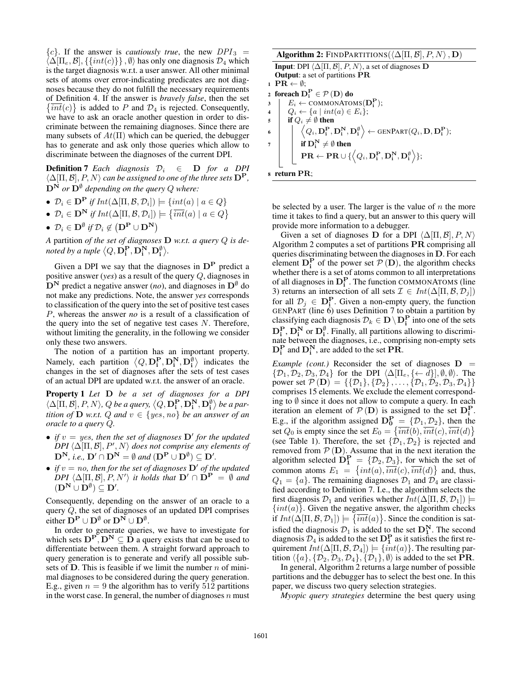${c}$ . If the answer is *cautiously true*, the new  $DPI_3$  =  $\langle \Delta[\Pi_e, \mathcal{B}], \{\{int(c)\}\}\, , \emptyset \rangle$  has only one diagnosis  $\mathcal{D}_4$  which is the target diagnosis w.r.t. a user answer. All other minimal sets of atoms over error-indicating predicates are not diagnoses because they do not fulfill the necessary requirements of Definition 4. If the answer is *bravely false*, then the set  $\{\overline{int}(c)\}\$ is added to P and  $\mathcal{D}_4$  is rejected. Consequently, we have to ask an oracle another question in order to discriminate between the remaining diagnoses. Since there are many subsets of  $At(II)$  which can be queried, the debugger has to generate and ask only those queries which allow to discriminate between the diagnoses of the current DPI.

**Definition 7** *Each diagnosis*  $\mathcal{D}_i \in \mathbf{D}$  *for a DPI*  $\langle \Delta[\Pi, \mathcal{B}], P, N \rangle$  *can be assigned to one of the three sets*  $\mathbf{D}^{\mathbf{P}},$  $\mathbf{D}^{\mathbf{N}}$  or  $\mathbf{D}^{\emptyset}$  depending on the query Q where:

- $\mathcal{D}_i \in \mathbf{D}^{\mathbf{P}}$  if  $Int(\Delta[\Pi, \mathcal{B}, \mathcal{D}_i]) \models \{int(a) \mid a \in Q\}$
- $\mathcal{D}_i \in \mathbf{D}^{\mathbf{N}}$  if  $Int(\Delta[\Pi, \mathcal{B}, \mathcal{D}_i]) \models \{\overline{int}(a) \mid a \in Q\}$
- $\mathcal{D}_i \in \mathbf{D}^{\emptyset}$  if  $\mathcal{D}_i \notin (\mathbf{D}^{\mathbf{P}} \cup \mathbf{D}^{\mathbf{N}})$

*A* partition *of the set of diagnoses* D *w.r.t. a query* Q *is de*noted by a tuple  $\left\langle \text{Q},\textbf{D}_\textbf{i}^\textbf{P},\textbf{D}_\textbf{i}^\textbf{N},\textbf{D}_\textbf{i}^\emptyset\right\rangle$ .

Given a DPI we say that the diagnoses in  $D<sup>P</sup>$  predict a positive answer (*yes*) as a result of the query Q, diagnoses in  $D^N$  predict a negative answer (*no*), and diagnoses in  $D^{\emptyset}$  do not make any predictions. Note, the answer *yes* corresponds to classification of the query into the set of positive test cases P, whereas the answer *no* is a result of a classification of the query into the set of negative test cases  $N$ . Therefore, without limiting the generality, in the following we consider only these two answers.

The notion of a partition has an important property. Namely, each partition  $\langle Q, \mathbf{D}_i^{\mathbf{P}}, \mathbf{D}_i^{\mathbf{N}}, \mathbf{D}_i^{\emptyset} \rangle$  indicates the changes in the set of diagnoses after the sets of test cases of an actual DPI are updated w.r.t. the answer of an oracle.

Property 1 *Let* D *be a set of diagnoses for a DPI*  $\langle \Delta[\Pi, \mathcal{B}], P, N \rangle$ ,  $Q$  be a query,  $\langle Q, \mathbf{D}_i^{\mathbf{P}}, \mathbf{D}_i^{\mathbf{N}}, \mathbf{D}_i^{\emptyset} \rangle$  be a par*tition of*  $D$  *w.r.t.*  $Q$  *and*  $v \in \{yes, no\}$  *be an answer of an oracle to a query* Q*.*

- *if*  $v = yes$ , then the set of diagnoses  $\mathbf{D}'$  for the updated  $DPI\langle \Delta[\Pi, \mathcal{B}], P', N \rangle$  does not comprise any elements of  $D^N$ , *i.e.*,  $D' \cap D^N = \emptyset$  and  $(D^P \cup D^{\emptyset}) \subseteq D'$ .
- *if*  $v = no$ , then for the set of diagnoses  $D'$  of the updated  $\overline{DPI}$   $\langle \Delta[\Pi, \mathcal{B}], P, N' \rangle$  *it holds that*  $D' \cap D^P = \emptyset$  *and*  $(D^{\mathbf{N}} \cup D^{\emptyset}) \subseteq D'.$

Consequently, depending on the answer of an oracle to a query Q, the set of diagnoses of an updated DPI comprises either  $\mathbf{D}^{\mathbf{P}} \cup \mathbf{D}^{\emptyset}$  or  $\mathbf{D}^{\mathbf{N}} \cup \mathbf{D}^{\emptyset}$ .

In order to generate queries, we have to investigate for which sets  $D^P$ ,  $D^N \subseteq \overrightarrow{D}$  a query exists that can be used to differentiate between them. A straight forward approach to query generation is to generate and verify all possible subsets of  $D$ . This is feasible if we limit the number  $n$  of minimal diagnoses to be considered during the query generation. E.g., given  $n = 9$  the algorithm has to verify 512 partitions in the worst case. In general, the number of diagnoses  $n$  must

| <b>Algorithm 2:</b> FINDPARTITIONS( $\langle \Delta[\Pi, \mathcal{B}], P, N \rangle$ , <b>D</b> )                                                           |
|-------------------------------------------------------------------------------------------------------------------------------------------------------------|
| <b>Input:</b> DPI $\langle \Delta[\Pi, \mathcal{B}], P, N \rangle$ , a set of diagnoses <b>D</b>                                                            |
| <b>Output:</b> a set of partitions PR                                                                                                                       |
| $1 \text{ PR} \leftarrow \emptyset$                                                                                                                         |
| 2 foreach $D_i^P \in \mathcal{P} (D)$ do                                                                                                                    |
| $E_i \leftarrow \text{COMMONATOMS}(\mathbf{D_i^P});$<br>3                                                                                                   |
| $\left\{Q_i \leftarrow \{a \mid int(a) \in E_i\}\right\}$<br>$\overline{\mathbf{4}}$                                                                        |
| if $Q_i \neq \emptyset$ then<br>5                                                                                                                           |
| $\left\langle Q_i, \mathbf{D_i^P}, \mathbf{D_i^N}, \mathbf{D_i^{\emptyset}} \right\rangle \leftarrow \text{GENPART}(Q_i, \mathbf{D}, \mathbf{D_i^P});$<br>6 |
| if $D_i^N \neq \emptyset$ then<br>$\overline{7}$                                                                                                            |
| $\mathbf{PR} \leftarrow \mathbf{PR} \cup \{\left< Q_i, \mathbf{D_i^P}, \mathbf{D_i^N}, \mathbf{D_i^{\emptyset}} \right>\};$                                 |
|                                                                                                                                                             |
| return $PR$ :                                                                                                                                               |

be selected by a user. The larger is the value of  $n$  the more time it takes to find a query, but an answer to this query will provide more information to a debugger.

Given a set of diagnoses D for a DPI  $\langle \Delta[\Pi, \mathcal{B}], P, N \rangle$ Algorithm 2 computes a set of partitions PR comprising all queries discriminating between the diagnoses in D. For each element  $D_i^P$  of the power set  $P(D)$ , the algorithm checks whether there is a set of atoms common to all interpretations of all diagnoses in  $D_i^P$ . The function COMMONATOMS (line 3) returns an intersection of all sets  $\mathcal{I} \in Int(\Delta[\Pi, \mathcal{B}, \mathcal{D}_i])$ for all  $\mathcal{D}_j \in \mathbf{D}_i^{\mathbf{P}}$ . Given a non-empty query, the function GENPART (line  $\vec{6}$ ) uses Definition 7 to obtain a partition by classifying each diagnosis  $\mathcal{D}_k \in \mathbf{D} \setminus \mathbf{D^P_i}$  into one of the sets  $D_i^P$ ,  $D_i^N$  or  $D_i^{\emptyset}$ . Finally, all partitions allowing to discriminate between the diagnoses, i.e., comprising non-empty sets  $D_i^P$  and  $D_i^N$ , are added to the set  $\overline{PR}$ .

*Example (cont.)* Reconsider the set of diagnoses  $D =$  $\{\mathcal{D}_1, \mathcal{D}_2, \mathcal{D}_3, \mathcal{D}_4\}$  for the DPI  $\langle \Delta[\Pi_e, {\{\leftarrow d\}}], \emptyset, \emptyset \rangle$ . The power set  $\mathcal{P}(\mathbf{D}) = \{\{\mathcal{D}_1\}, \{\mathcal{D}_2\}, \ldots, \{\mathcal{D}_1, \mathcal{D}_2, \mathcal{D}_3, \mathcal{D}_4\}\}\$ comprises 15 elements. We exclude the element corresponding to  $\emptyset$  since it does not allow to compute a query. In each iteration an element of  $P(D)$  is assigned to the set  $D_i^P$ . E.g., if the algorithm assigned  $D_0^P = \{D_1, D_2\}$ , then the set  $Q_0$  is empty since the set  $E_0 = \{\overline{int}(b), \overline{int}(c), \overline{int}(d)\}\$ (see Table 1). Therefore, the set  $\{\mathcal{D}_1, \mathcal{D}_2\}$  is rejected and removed from  $P(D)$ . Assume that in the next iteration the algorithm selected  $\mathbf{D_1^P} = \{ \mathcal{D}_2, \mathcal{D}_3 \}$ , for which the set of common atoms  $E_1 = \{int(a), \overline{int}(c), \overline{int}(d)\}\$ and, thus,  $Q_1 = \{a\}$ . The remaining diagnoses  $\mathcal{D}_1$  and  $\mathcal{D}_4$  are classified according to Definition 7. I.e., the algorithm selects the first diagnosis  $\mathcal{D}_1$  and verifies whether  $Int(\Delta[\Pi, \mathcal{B}, \mathcal{D}_1])$   $\models$  $\{int(a)\}\.$  Given the negative answer, the algorithm checks if  $Int(\Delta[\Pi, \mathcal{B}, \mathcal{D}_1]) \models {\overline{int}(a)}$ . Since the condition is satisfied the diagnosis  $\mathcal{D}_1$  is added to the set  $\mathbf{D}_1^N$ . The second diagnosis  $D_1$  is added to the set  $D_1^P$ . The second diagnosis  $D_4$  is added to the set  $D_1^P$  as it satisfies the first requirement  $Int(\Delta[\Pi,{\cal B},{\cal D}_4])\models \{int(a)\}.$  The resulting partition  $\langle \{a\}, \{D_2, D_3, D_4\}, \{D_1\}, \emptyset \rangle$  is added to the set PR.

In general, Algorithm 2 returns a large number of possible partitions and the debugger has to select the best one. In this paper, we discuss two query selection strategies.

*Myopic query strategies* determine the best query using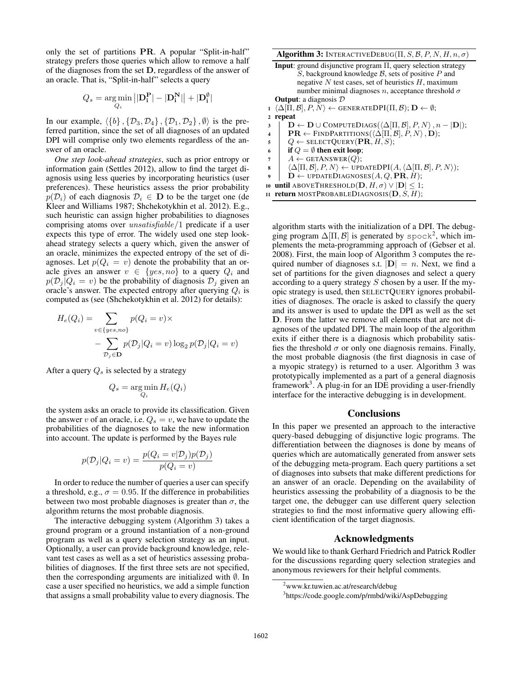only the set of partitions PR. A popular "Split-in-half" strategy prefers those queries which allow to remove a half of the diagnoses from the set D, regardless of the answer of an oracle. That is, "Split-in-half" selects a query

$$
Q_s = \underset{Q_i}{\arg\min} \left| |\mathbf{D_i^P}| - |\mathbf{D_i^N}| \right| + |\mathbf{D_i^{\emptyset}}|
$$

In our example,  $\{\{b\}, \{\mathcal{D}_3, \mathcal{D}_4\}, \{\mathcal{D}_1, \mathcal{D}_2\}, \emptyset$  is the preferred partition, since the set of all diagnoses of an updated DPI will comprise only two elements regardless of the answer of an oracle.

*One step look-ahead strategies*, such as prior entropy or information gain (Settles 2012), allow to find the target diagnosis using less queries by incorporating heuristics (user preferences). These heuristics assess the prior probability  $p(\mathcal{D}_i)$  of each diagnosis  $\mathcal{D}_i \in \mathbf{D}$  to be the target one (de Kleer and Williams 1987; Shchekotykhin et al. 2012). E.g., such heuristic can assign higher probabilities to diagnoses comprising atoms over unsatisfiable/1 predicate if a user expects this type of error. The widely used one step lookahead strategy selects a query which, given the answer of an oracle, minimizes the expected entropy of the set of diagnoses. Let  $p(Q_i = v)$  denote the probability that an oracle gives an answer  $v \in \{yes, no\}$  to a query  $Q_i$  and  $p(\mathcal{D}_i | Q_i = v)$  be the probability of diagnosis  $\mathcal{D}_i$  given an oracle's answer. The expected entropy after querying  $Q_i$  is computed as (see (Shchekotykhin et al. 2012) for details):

$$
H_e(Q_i) = \sum_{v \in \{yes, no\}} p(Q_i = v) \times
$$

$$
- \sum_{\mathcal{D}_j \in \mathbf{D}} p(\mathcal{D}_j | Q_i = v) \log_2 p(\mathcal{D}_j | Q_i = v)
$$

After a query  $Q_s$  is selected by a strategy

$$
Q_s = \underset{Q_i}{\arg\min} H_e(Q_i)
$$

the system asks an oracle to provide its classification. Given the answer v of an oracle, i.e.  $Q_s = v$ , we have to update the probabilities of the diagnoses to take the new information into account. The update is performed by the Bayes rule

$$
p(\mathcal{D}_j|Q_i = v) = \frac{p(Q_i = v|\mathcal{D}_j)p(\mathcal{D}_j)}{p(Q_i = v)}
$$

In order to reduce the number of queries a user can specify a threshold, e.g.,  $\sigma = 0.95$ . If the difference in probabilities between two most probable diagnoses is greater than  $\sigma$ , the algorithm returns the most probable diagnosis.

The interactive debugging system (Algorithm 3) takes a ground program or a ground instantiation of a non-ground program as well as a query selection strategy as an input. Optionally, a user can provide background knowledge, relevant test cases as well as a set of heuristics assessing probabilities of diagnoses. If the first three sets are not specified, then the corresponding arguments are initialized with ∅. In case a user specified no heuristics, we add a simple function that assigns a small probability value to every diagnosis. The

Algorithm 3: INTERACTIVEDEBUG( $\Pi, S, B, P, N, H, n, \sigma$ )

| <b>Input</b> : ground disjunctive program $\Pi$ , query selection strategy                                                            |
|---------------------------------------------------------------------------------------------------------------------------------------|
| S, background knowledge $\beta$ , sets of positive P and                                                                              |
| negative N test cases, set of heuristics $H$ , maximum                                                                                |
| number minimal diagnoses n, acceptance threshold $\sigma$                                                                             |
| <b>Output:</b> a diagnosis $D$                                                                                                        |
| $1 \langle \Delta[\Pi, \mathcal{B}], P, N \rangle \leftarrow \text{GENERALEDPI}(\Pi, \mathcal{B}); \mathbf{D} \leftarrow \emptyset;$  |
| repeat<br>$\mathbf{2}$                                                                                                                |
| $\mathbf{D} \leftarrow \mathbf{D} \cup \text{COMPUTeDiAGS}(\langle \Delta[\Pi, \mathcal{B}], P, N \rangle, n -  \mathbf{D} );$<br>3   |
| $\mathbf{PR} \leftarrow \text{FINDPARTITIONS}(\langle \Delta   \Pi, \mathcal{B}  , P, N \rangle, \mathbf{D});$<br>4                   |
| $Q \leftarrow$ SELECTQUERY (PR, H, S);<br>5                                                                                           |
| if $Q = \emptyset$ then exit loop;<br>6                                                                                               |
| $A \leftarrow$ GETANSWER $(Q)$ ;<br>7                                                                                                 |
| $\langle \Delta[\Pi, \mathcal{B}], P, N \rangle \leftarrow \text{UPDATEDPI}(A, \langle \Delta[\Pi, \mathcal{B}], P, N \rangle);$<br>8 |
| $\mathbf{D} \leftarrow$ UPDATEDIAGNOSES $(A, Q, \mathbf{PR}, H)$ ;<br>$\boldsymbol{9}$                                                |
| <b>until</b> ABOVETHRESHOLD $(D, H, \sigma) \vee  D  \leq 1$ ;<br>10                                                                  |
| <b>return</b> MOSTPROBABLEDIAGNOSIS( $D, S, H$ );<br>11                                                                               |

algorithm starts with the initialization of a DPI. The debugging program  $\Delta[\Pi, \mathcal{B}]$  is generated by spock<sup>2</sup>, which implements the meta-programming approach of (Gebser et al. 2008). First, the main loop of Algorithm 3 computes the required number of diagnoses s.t.  $|\mathbf{D}| = n$ . Next, we find a set of partitions for the given diagnoses and select a query according to a query strategy  $S$  chosen by a user. If the myopic strategy is used, then SELECTQUERY ignores probabilities of diagnoses. The oracle is asked to classify the query and its answer is used to update the DPI as well as the set D. From the latter we remove all elements that are not diagnoses of the updated DPI. The main loop of the algorithm exits if either there is a diagnosis which probability satisfies the threshold  $\sigma$  or only one diagnosis remains. Finally, the most probable diagnosis (the first diagnosis in case of a myopic strategy) is returned to a user. Algorithm 3 was prototypically implemented as a part of a general diagnosis framework<sup>3</sup>. A plug-in for an IDE providing a user-friendly interface for the interactive debugging is in development.

#### **Conclusions**

In this paper we presented an approach to the interactive query-based debugging of disjunctive logic programs. The differentiation between the diagnoses is done by means of queries which are automatically generated from answer sets of the debugging meta-program. Each query partitions a set of diagnoses into subsets that make different predictions for an answer of an oracle. Depending on the availability of heuristics assessing the probability of a diagnosis to be the target one, the debugger can use different query selection strategies to find the most informative query allowing efficient identification of the target diagnosis.

# Acknowledgments

We would like to thank Gerhard Friedrich and Patrick Rodler for the discussions regarding query selection strategies and anonymous reviewers for their helpful comments.

<sup>&</sup>lt;sup>2</sup>www.kr.tuwien.ac.at/research/debug

<sup>3</sup> https://code.google.com/p/rmbd/wiki/AspDebugging